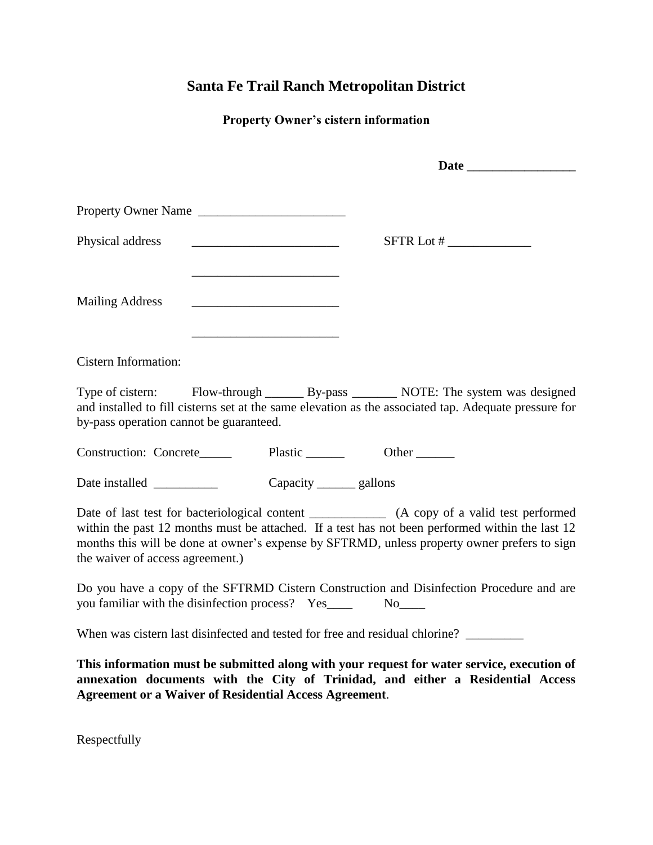## **Santa Fe Trail Ranch Metropolitan District**

## **Property Owner's cistern information**

|                                         | Property Owner Name                                                                                                                                                                                                                                                                              |
|-----------------------------------------|--------------------------------------------------------------------------------------------------------------------------------------------------------------------------------------------------------------------------------------------------------------------------------------------------|
| Physical address                        | <u> 1989 - Johann Barn, mars ann an t-Amhain an t-Amhain an t-Amhain an t-Amhain an t-Amhain an t-Amhain an t-A</u>                                                                                                                                                                              |
| <b>Mailing Address</b>                  | the control of the control of the control of the control of the control of the control of                                                                                                                                                                                                        |
| Cistern Information:                    |                                                                                                                                                                                                                                                                                                  |
| by-pass operation cannot be guaranteed. | Type of cistern: Flow-through ________ By-pass _________ NOTE: The system was designed<br>and installed to fill cisterns set at the same elevation as the associated tap. Adequate pressure for                                                                                                  |
|                                         |                                                                                                                                                                                                                                                                                                  |
|                                         | Capacity _______ gallons                                                                                                                                                                                                                                                                         |
| the waiver of access agreement.)        | Date of last test for bacteriological content _____________ (A copy of a valid test performed<br>within the past 12 months must be attached. If a test has not been performed within the last 12<br>months this will be done at owner's expense by SFTRMD, unless property owner prefers to sign |
|                                         | Do you have a copy of the SFTRMD Cistern Construction and Disinfection Procedure and are                                                                                                                                                                                                         |
|                                         | When was cistern last disinfected and tested for free and residual chlorine?                                                                                                                                                                                                                     |
|                                         | This information must be submitted along with your request for water service, execution of<br>annexation documents with the City of Trinidad, and either a Residential Access<br><b>Agreement or a Waiver of Residential Access Agreement.</b>                                                   |
| Respectfully                            |                                                                                                                                                                                                                                                                                                  |